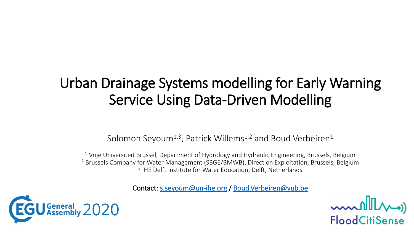## Urban Drainage Systems modelling for Early Warning Service Using Data-Driven Modelling

#### Solomon Seyoum<sup>1,3</sup>, Patrick Willems<sup>1,2</sup> and Boud Verbeiren<sup>1</sup>

 $1$  Vrije Universiteit Brussel, Department of Hydrology and Hydraulic Engineering, Brussels, Belgium <sup>2</sup> Brussels Company for Water Management (SBGE/BMWB), Direction Exploitation, Brussels, Belgium <sup>3</sup> IHE Delft Institute for Water Education, Delft, Netherlands

Contact: [s.seyoum@un-ihe.org](mailto:s.seyoum@un-ihe.org) / [Boud.Verbeiren@vub.be](mailto:Boud.Verbeiren@vub.be)



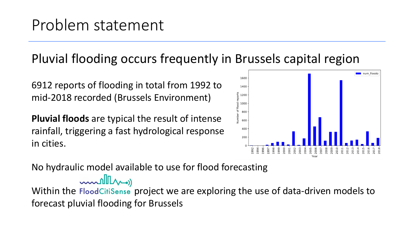### Problem statement

#### Pluvial flooding occurs frequently in Brussels capital region

6912 reports of flooding in total from 1992 to mid-2018 recorded (Brussels Environment)

**Pluvial floods** are typical the result of intense rainfall, triggering a fast hydrological response in cities.



No hydraulic model available to use for flood forecasting

mullers)

Within the FloodCitiSense project we are exploring the use of data-driven models to forecast pluvial flooding for Brussels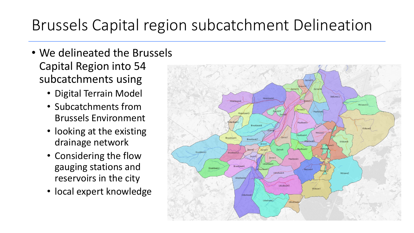## Brussels Capital region subcatchment Delineation

- We delineated the Brussels Capital Region into 54 subcatchments using
	- Digital Terrain Model
	- Subcatchments from Brussels Environment
	- looking at the existing drainage network
	- Considering the flow gauging stations and reservoirs in the city
	- local expert knowledge

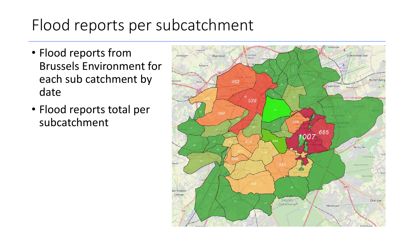## Flood reports per subcatchment

- Flood reports from Brussels Environment for each sub catchment by date
- Flood reports total per subcatchment

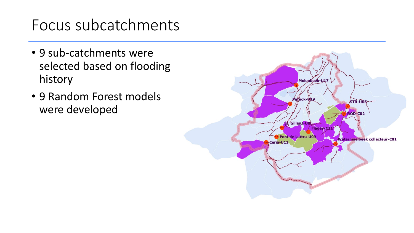#### Focus subcatchments

- 9 sub-catchments were selected based on flooding history
- 9 Random Forest models were developed

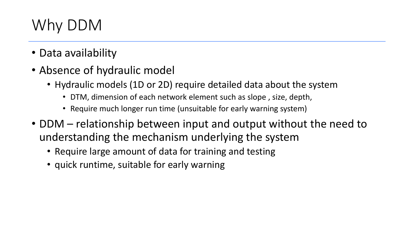# Why DDM

- Data availability
- Absence of hydraulic model
	- Hydraulic models (1D or 2D) require detailed data about the system
		- DTM, dimension of each network element such as slope , size, depth,
		- Require much longer run time (unsuitable for early warning system)
- DDM relationship between input and output without the need to understanding the mechanism underlying the system
	- Require large amount of data for training and testing
	- quick runtime, suitable for early warning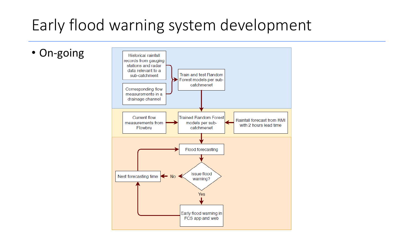## Early flood warning system development

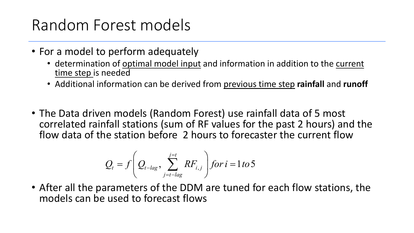## Random Forest models

- For a model to perform adequately
	- determination of optimal model input and information in addition to the current time step is needed
	- Additional information can be derived from previous time step **rainfall** and **runoff**
- The Data driven models (Random Forest) use rainfall data of 5 most correlated rainfall stations (sum of RF values for the past 2 hours) and the flow data of the station before 2 hours to forecaster the current flow

$$
Q_{t}=f\left(Q_{t-lag},\sum_{j=t-lag}^{j=t}RF_{i,j}\right) for i=1 to 5
$$

• After all the parameters of the DDM are tuned for each flow stations, the models can be used to forecast flows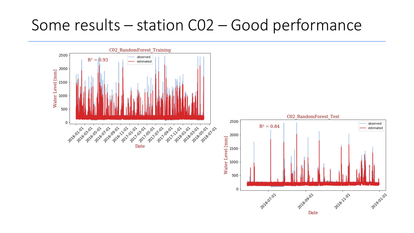#### Some results – station C02 – Good performance

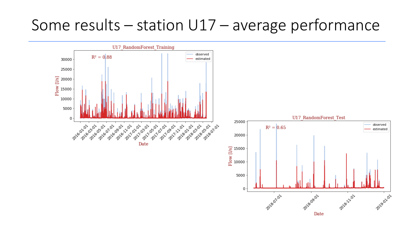#### Some results – station U17 – average performance

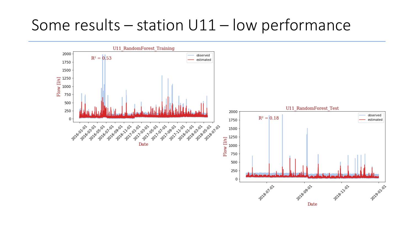#### Some results – station U11 – low performance

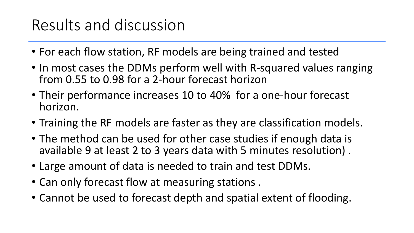## Results and discussion

- For each flow station, RF models are being trained and tested
- In most cases the DDMs perform well with R-squared values ranging from 0.55 to 0.98 for a 2-hour forecast horizon
- Their performance increases 10 to 40% for a one-hour forecast horizon.
- Training the RF models are faster as they are classification models.
- The method can be used for other case studies if enough data is available 9 at least 2 to 3 years data with 5 minutes resolution) .
- Large amount of data is needed to train and test DDMs.
- Can only forecast flow at measuring stations .
- Cannot be used to forecast depth and spatial extent of flooding.